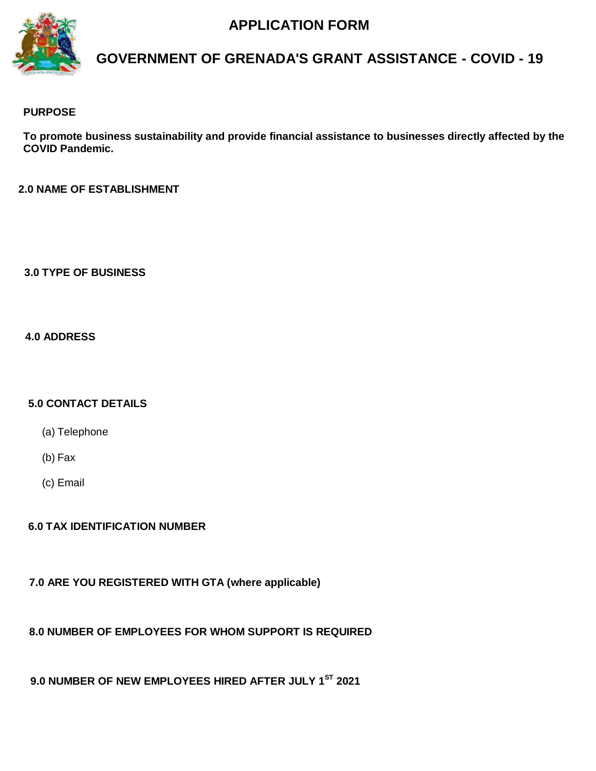# **APPLICATION FORM**



# **GOVERNMENT OF GRENADA'S GRANT ASSISTANCE - COVID - 19**

### **PURPOSE**

**To promote business sustainability and provide financial assistance to businesses directly affected by the COVID Pandemic.**

**2.0 NAME OF ESTABLISHMENT**

**3.0 TYPE OF BUSINESS**

**4.0 ADDRESS**

#### **5.0 CONTACT DETAILS**

(a) Telephone

(b) Fax

(c) Email

## **6.0 TAX IDENTIFICATION NUMBER**

**7.0 ARE YOU REGISTERED WITH GTA (where applicable)**

**8.0 NUMBER OF EMPLOYEES FOR WHOM SUPPORT IS REQUIRED**

 **9.0 NUMBER OF NEW EMPLOYEES HIRED AFTER JULY 1ST 2021**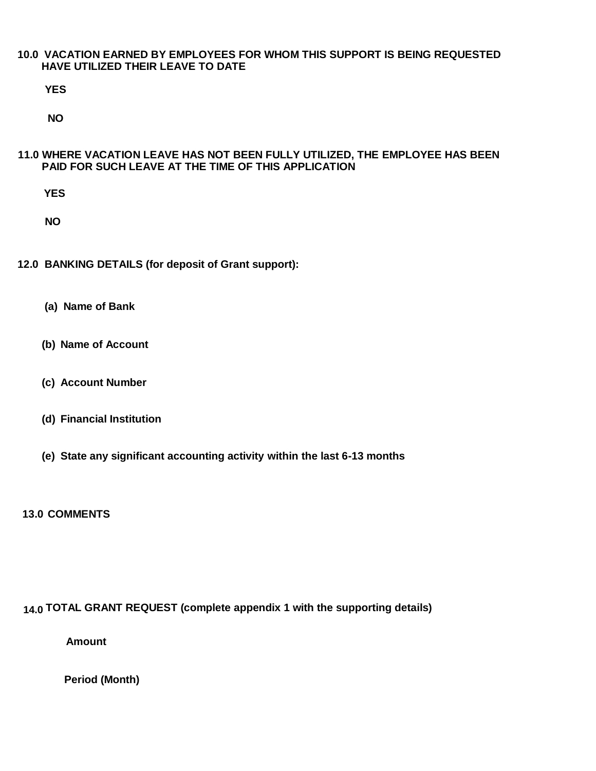#### **10.0 VACATION EARNED BY EMPLOYEES FOR WHOM THIS SUPPORT IS BEING REQUESTED HAVE UTILIZED THEIR LEAVE TO DATE**

**YES**

**NO**

#### **11.0 WHERE VACATION LEAVE HAS NOT BEEN FULLY UTILIZED, THE EMPLOYEE HAS BEEN PAID FOR SUCH LEAVE AT THE TIME OF THIS APPLICATION**

**YES**

**NO**

**12.0 BANKING DETAILS (for deposit of Grant support):**

- **(a) Name of Bank**
- **(b) Name of Account**
- **(c) Account Number**
- **(d) Financial Institution**
- **(e) State any significant accounting activity within the last 6-13 months**

**13.0 COMMENTS**

#### **14.0 TOTAL GRANT REQUEST (complete appendix 1 with the supporting details)**

**Amount**

**Period (Month)**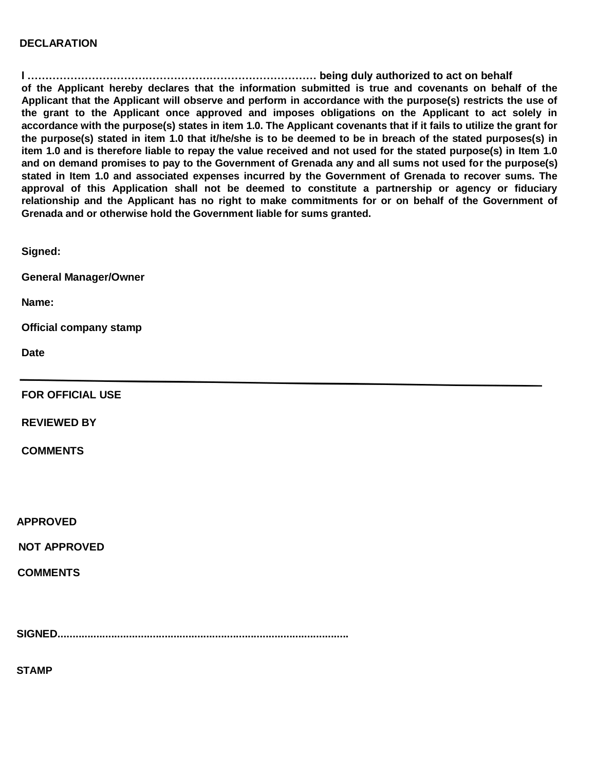#### **DECLARATION**

**I ……………………………………………………………………… being duly authorized to act on behalf of the Applicant hereby declares that the information submitted is true and covenants on behalf of the Applicant that the Applicant will observe and perform in accordance with the purpose(s) restricts the use of the grant to the Applicant once approved and imposes obligations on the Applicant to act solely in accordance with the purpose(s) states in item 1.0. The Applicant covenants that if it fails to utilize the grant for the purpose(s) stated in item 1.0 that it/he/she is to be deemed to be in breach of the stated purposes(s) in item 1.0 and is therefore liable to repay the value received and not used for the stated purpose(s) in Item 1.0 and on demand promises to pay to the Government of Grenada any and all sums not used for the purpose(s) stated in Item 1.0 and associated expenses incurred by the Government of Grenada to recover sums. The approval of this Application shall not be deemed to constitute a partnership or agency or fiduciary relationship and the Applicant has no right to make commitments for or on behalf of the Government of Grenada and or otherwise hold the Government liable for sums granted.**

**Signed:**

**General Manager/Owner**

**Name:**

**Official company stamp**

**Date**

**FOR OFFICIAL USE**

**REVIEWED BY**

**COMMENTS**

**APPROVED**

**NOT APPROVED**

**COMMENTS**

**SIGNED..................................................................................................**

**STAMP**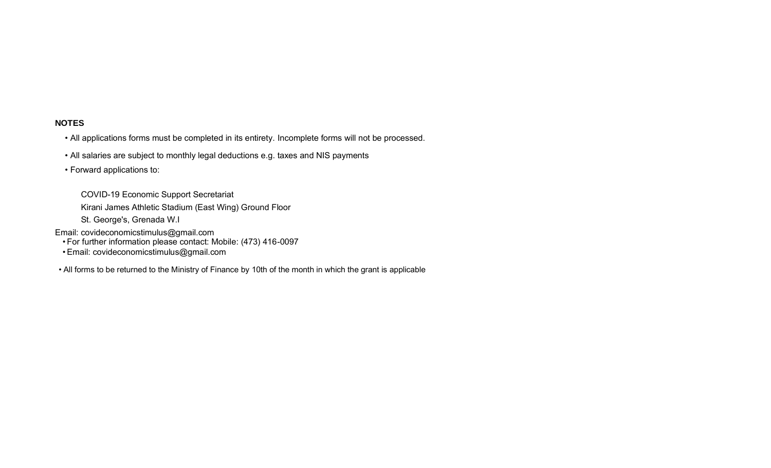### **NOTES**

- All applications forms must be completed in its entirety. Incomplete forms will not be processed.
- All salaries are subject to monthly legal deductions e.g. taxes and NIS payments
- Forward applications to:

COVID-19 Economic Support Secretariat

Kirani James Athletic Stadium (East Wing) Ground Floor

St. George's, Grenada W.I

Email: covideconomicstimulus@gmail.com

• For further information please contact: Mobile: (473) 416-0097

• Email: covideconomicstimulus@gmail.com

• All forms to be returned to the Ministry of Finance by 10th of the month in which the grant is applicable